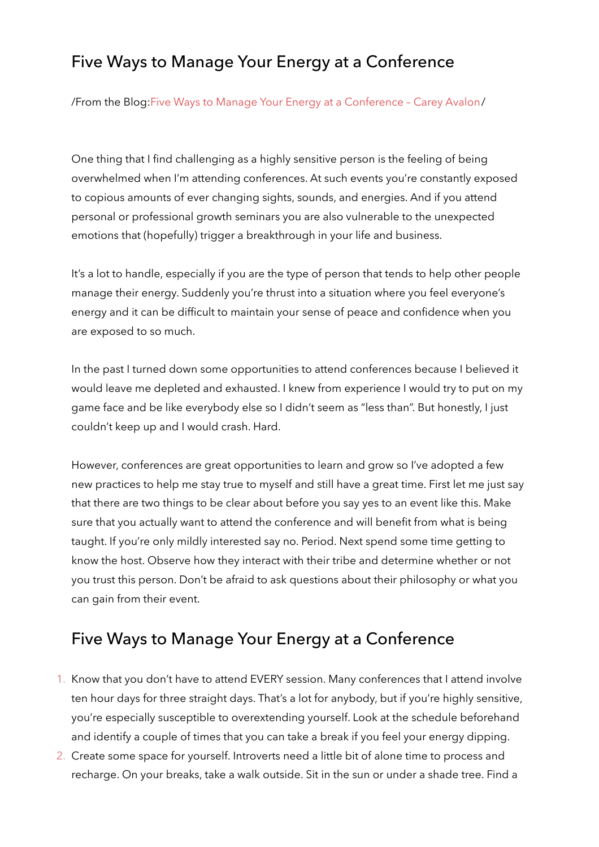## Five Ways to Manage Your Energy at a Conference

/From the Blog[:Five Ways to Manage Your Energy at a Conference – Carey Avalon](https://www.careyavalon.com/five-ways-manage-energy-conference/)/

One thing that I find challenging as a highly sensitive person is the feeling of being overwhelmed when I'm attending conferences. At such events you're constantly exposed to copious amounts of ever changing sights, sounds, and energies. And if you attend personal or professional growth seminars you are also vulnerable to the unexpected emotions that (hopefully) trigger a breakthrough in your life and business.

It's a lot to handle, especially if you are the type of person that tends to help other people manage their energy. Suddenly you're thrust into a situation where you feel everyone's energy and it can be difficult to maintain your sense of peace and confidence when you are exposed to so much.

In the past I turned down some opportunities to attend conferences because I believed it would leave me depleted and exhausted. I knew from experience I would try to put on my game face and be like everybody else so I didn't seem as "less than". But honestly, I just couldn't keep up and I would crash. Hard.

However, conferences are great opportunities to learn and grow so I've adopted a few new practices to help me stay true to myself and still have a great time. First let me just say that there are two things to be clear about before you say yes to an event like this. Make sure that you actually want to attend the conference and will benefit from what is being taught. If you're only mildly interested say no. Period. Next spend some time getting to know the host. Observe how they interact with their tribe and determine whether or not you trust this person. Don't be afraid to ask questions about their philosophy or what you can gain from their event.

## Five Ways to Manage Your Energy at a Conference

- 1. Know that you don't have to attend EVERY session. Many conferences that I attend involve ten hour days for three straight days. That's a lot for anybody, but if you're highly sensitive, you're especially susceptible to overextending yourself. Look at the schedule beforehand and identify a couple of times that you can take a break if you feel your energy dipping.
- 2. Create some space for yourself. Introverts need a little bit of alone time to process and recharge. On your breaks, take a walk outside. Sit in the sun or under a shade tree. Find a